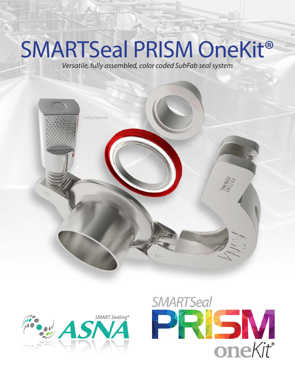# SMARTSeal PRISM OneKit®

*Versatile, fully assembled, color coded SubFab seal system*